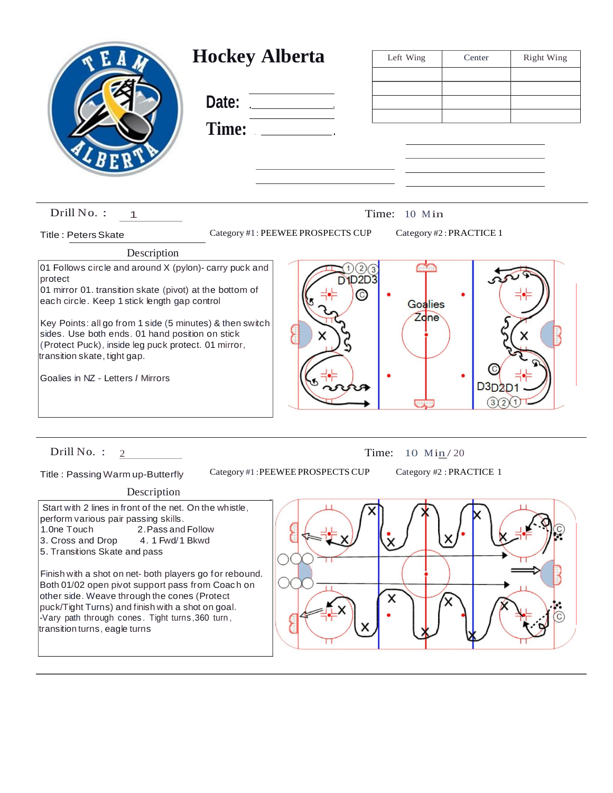| <b>Hockey Alberta</b>                                                                                                                                                                                                                                                                                                                                                                                                                                                                                                  | Date:<br>Time: <u>___________</u> | Left Wing       | Center                  | Right Wing |
|------------------------------------------------------------------------------------------------------------------------------------------------------------------------------------------------------------------------------------------------------------------------------------------------------------------------------------------------------------------------------------------------------------------------------------------------------------------------------------------------------------------------|-----------------------------------|-----------------|-------------------------|------------|
| Drill No.:<br>1                                                                                                                                                                                                                                                                                                                                                                                                                                                                                                        |                                   | Time: 10 Min    |                         |            |
| <b>Title: Peters Skate</b>                                                                                                                                                                                                                                                                                                                                                                                                                                                                                             | Category #1: PEEWEE PROSPECTS CUP |                 | Category #2: PRACTICE 1 |            |
| Description                                                                                                                                                                                                                                                                                                                                                                                                                                                                                                            |                                   |                 |                         |            |
| 01 Follows circle and around X (pylon)- carry puck and<br>protect<br>01 mirror 01. transition skate (pivot) at the bottom of<br>each circle. Keep 1 stick length gap control<br>Key Points: all go from 1 side (5 minutes) & then switch<br>sides. Use both ends. 01 hand position on stick<br>(Protect Puck), inside leg puck protect. 01 mirror,<br>transition skate, tight gap.<br>Goalies in NZ - Letters / Mirrors                                                                                                | <b>D1D2D3</b><br>C                | Goalies<br>Zdne | D3D2                    |            |
| Drill No. :<br>2                                                                                                                                                                                                                                                                                                                                                                                                                                                                                                       | Time:                             | 10 $Min/20$     |                         |            |
| Category #1: PEEWEE PROSPECTS CUP<br>Category #2: PRACTICE 1<br>Title: Passing Warm up-Butterfly                                                                                                                                                                                                                                                                                                                                                                                                                       |                                   |                 |                         |            |
| Description                                                                                                                                                                                                                                                                                                                                                                                                                                                                                                            |                                   |                 |                         |            |
| Start with 2 lines in front of the net. On the whistle,<br>perform various pair passing skills.<br>1.0ne Touch<br>2. Pass and Follow<br>3. Cross and Drop<br>4. 1 Fwd/1 Bkwd<br>5. Transitions Skate and pass<br>Finish with a shot on net- both players go for rebound.<br>Both 01/02 open pivot support pass from Coach on<br>other side. Weave through the cones (Protect<br>puck/Tight Turns) and finish with a shot on goal.<br>-Vary path through cones. Tight turns, 360 turn,<br>transition turns, eagle turns |                                   | X<br>X          | x                       |            |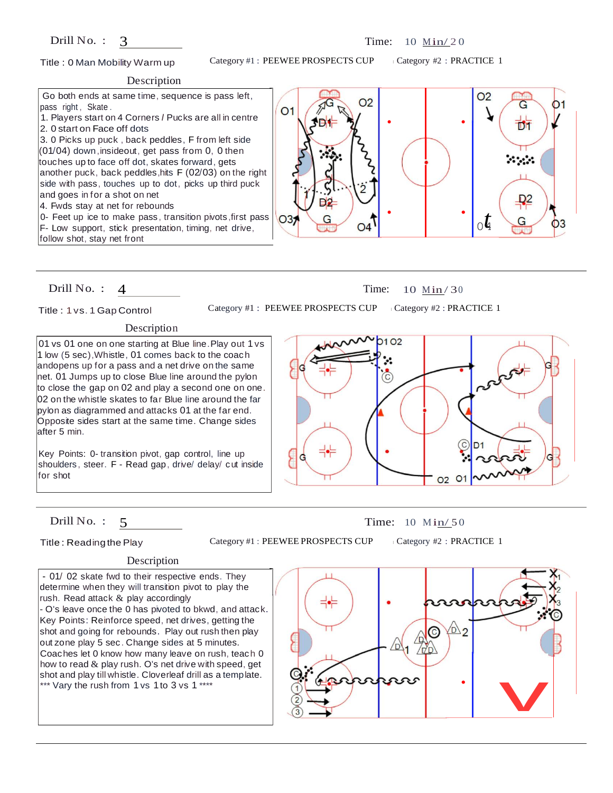# Drill No. :  $3$

# Title : 0 Man Mobility Warm up

Category #1 : PEEWEE PROSPECTS CUP

<sup>I</sup>Category #2 : PRACTICE 1

## Description

Go both ends at same time, sequence is pass left, pass right, Skate.  $O<sub>1</sub>$ 1. Players start on 4 Corners *I* Pucks are all in centre 2. 0 start on Face off dots 3. 0 Picks up puck , back peddles, F from left side  $(01/04)$  down, insideout, get pass from 0, 0 then touches up to face off dot, skates forward, gets another puck, back peddles,hits F (02/03) on the right side with pass, touches up to dot, picks up third puck and goes in for a shot on net 4. Fwds stay at net for rebounds 0- Feet up ice to make pass , transition pivots ,first pass  $O3$ F- Low support, stick presentation, timing, net drive, follow shot, stay net front



# Drill No. : 4 Time: 10 Min/30

Title : 1 vs. 1 Gap Control

Category #1 : PEEWEE PROSPECTS CUP ICategory #2 : PRACTICE 1

# Description

01 vs 01 one on one starting at Blue line.Play out 1 vs 1 low (5 sec),Whistle, 01 comes back to the coach andopens up for a pass and a net drive on the same net. 01 Jumps up to close Blue line around the pylon to close the gap on 02 and play a second one on one. 02 on the whistle skates to far Blue line around the far pylon as diagrammed and attacks 01 at the far end. Opposite sides start at the same time. Change sides after 5 min.

Key Points: 0- transition pivot, gap control, line up shoulders , steer. F - Read gap, drive/ delay/ cut inside for shot





Title : Readingthe Play

Category #1 : PEEWEE PROSPECTS CUP | Category #2 : PRACTICE 1

### Description

- 01/ 02 skate fwd to their respective ends. They determine when they will transition pivot to play the rush. Read attack  $&$  play accordingly - O's leave once the 0 has pivoted to bkwd, and attack. Key Points: Reinforce speed, net drives, getting the shot and going for rebounds. Play out rush then play out zone play 5 sec. Change sides at 5 minutes. Coaches let 0 know how many leave on rush, teach 0 how to read  $\&$  play rush. O's net drive with speed, get shot and play till whistle. Cloverleaf drill as a template. \*\*\* Vary the rush from 1 vs 1 to 3 vs 1 \*\*\*\*